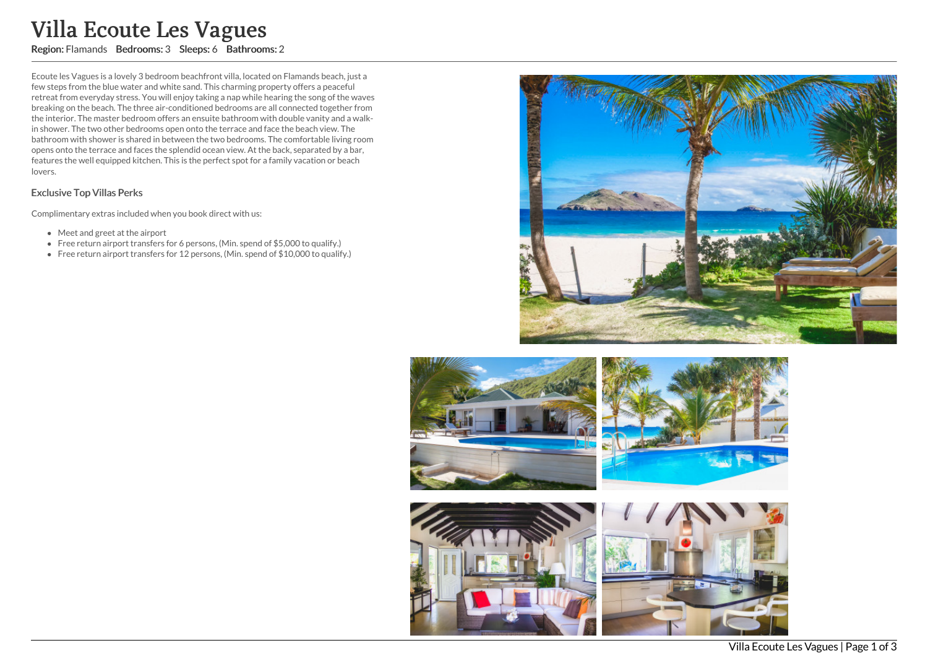## Villa Ecoute Les Vagues

Region: Flamands Bedrooms: 3 Sleeps: 6 Bathrooms: 2

Ecoute les Vagues is a lovely 3 bedroom beachfront villa, located on Flamands beach, just a few steps from the blue water and white sand. This charming property offers a peaceful retreat from everyday stress. You will enjoy taking a nap while hearing the song of the waves breaking on the beach. The three air-conditioned bedrooms are all connected together from the interior. The master bedroom offers an ensuite bathroom with double vanity and a walkin shower. The two other bedrooms open onto the terrace and face the beach view. The bathroom with shower is shared in between the two bedrooms. The comfortable living room opens onto the terrace and faces the splendid ocean view. At the back, separated by a bar, features the well equipped kitchen. This is the perfect spot for a family vacation or beach lovers.

## Exclusive Top Villas Perks

Complimentary extras included when you book direct with us:

- Meet and greet at the airport
- Free return airport transfers for 6 persons, (Min. spend of \$5,000 to qualify.)
- Free return airport transfers for 12 persons, (Min. spend of \$10,000 to qualify.)



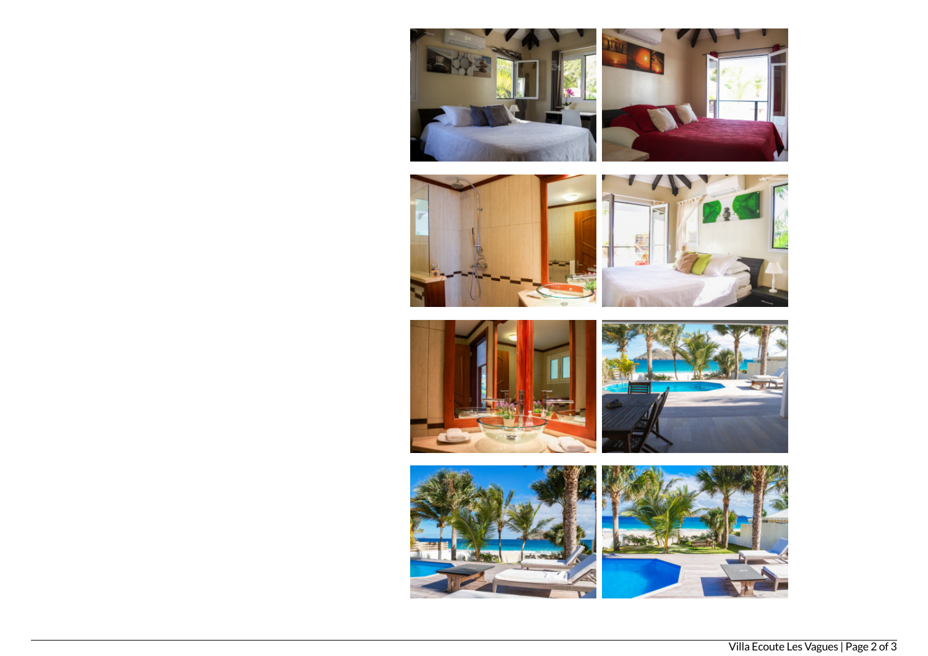